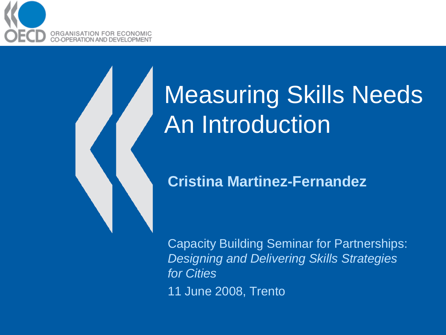

# Measuring Skills Needs An Introduction

#### **Cristina Martinez-Fernandez**

Capacity Building Seminar for Partnerships: *Designing and Delivering Skills Strategies for Cities*

11 June 2008, Trento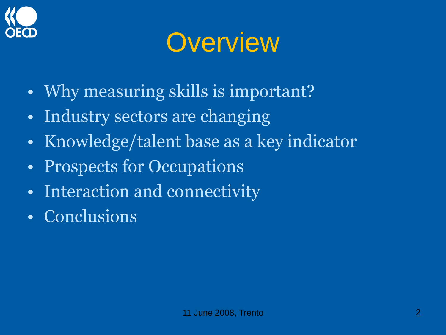

#### **Overview**

- Why measuring skills is important?
- Industry sectors are changing
- Knowledge/talent base as a key indicator
- Prospects for Occupations
- Interaction and connectivity
- Conclusions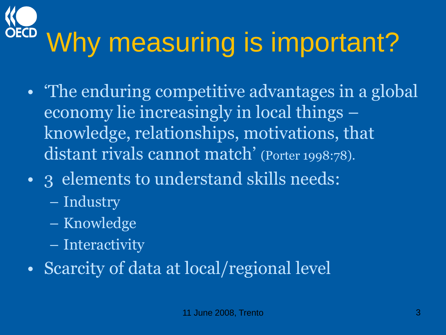# Why measuring is important?

- The enduring competitive advantages in a global economy lie increasingly in local things – knowledge, relationships, motivations, that distant rivals cannot match' (Porter 1998:78).
- 3 elements to understand skills needs:
	- Industry
	- Knowledge
	- Interactivity
- Scarcity of data at local/regional level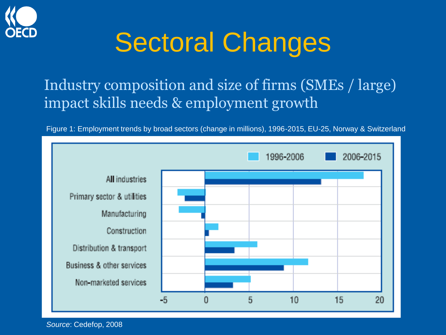

### Sectoral Changes

#### Industry composition and size of firms (SMEs / large) impact skills needs & employment growth

Figure 1: Employment trends by broad sectors (change in millions), 1996-2015, EU-25, Norway & Switzerland



*Source*: Cedefop, 2008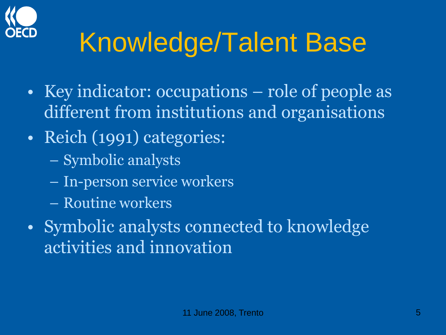

# Knowledge/Talent Base

- Key indicator: occupations role of people as different from institutions and organisations
- Reich (1991) categories:
	- Symbolic analysts
	- In-person service workers
	- Routine workers
- Symbolic analysts connected to knowledge activities and innovation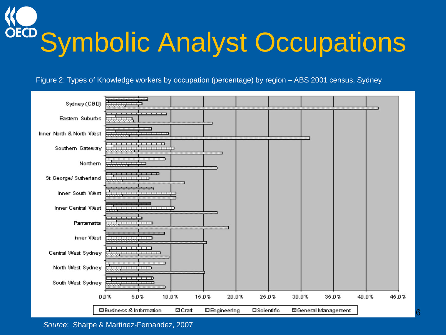**OECD Symbolic Analyst Occupations** 

Figure 2: Types of Knowledge workers by occupation (percentage) by region – ABS 2001 census, Sydney



*Source*: Sharpe & Martinez-Fernandez, 2007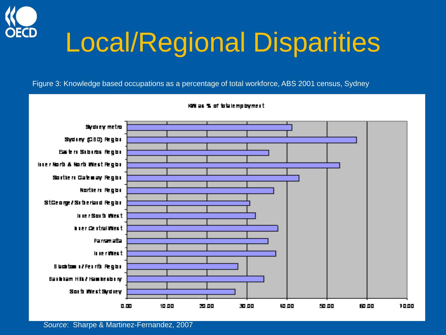

## Local/Regional Disparities

Figure 3: Knowledge based occupations as a percentage of total workforce, ABS 2001 census, Sydney

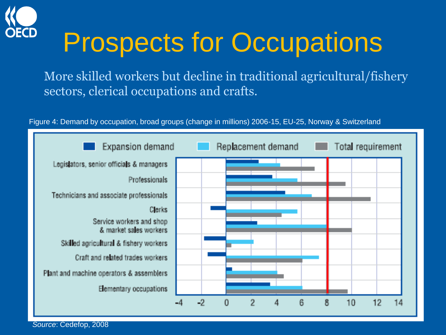

### Prospects for Occupations

More skilled workers but decline in traditional agricultural/fishery sectors, clerical occupations and crafts.





*Source*: Cedefop, 2008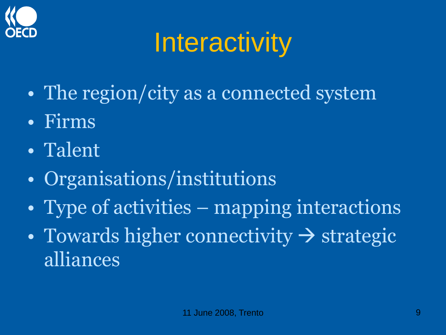

# **Interactivity**

- The region/city as a connected system
- Firms
- Talent
- Organisations/institutions
- Type of activities mapping interactions
- Towards higher connectivity  $\rightarrow$  strategic alliances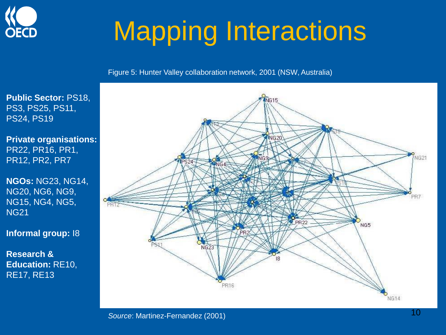

# Mapping Interactions

Figure 5: Hunter Valley collaboration network, 2001 (NSW, Australia)

**Public Sector:** PS18, PS3, PS25, PS11, PS24, PS19

**Private organisations:**  PR22, PR16, PR1, PR12, PR2, PR7

**NGOs:** NG23, NG14, NG20, NG6, NG9, NG15, NG4, NG5, NG21

**Informal group:** I8

**Research & Education:** RE10, RE17, RE13